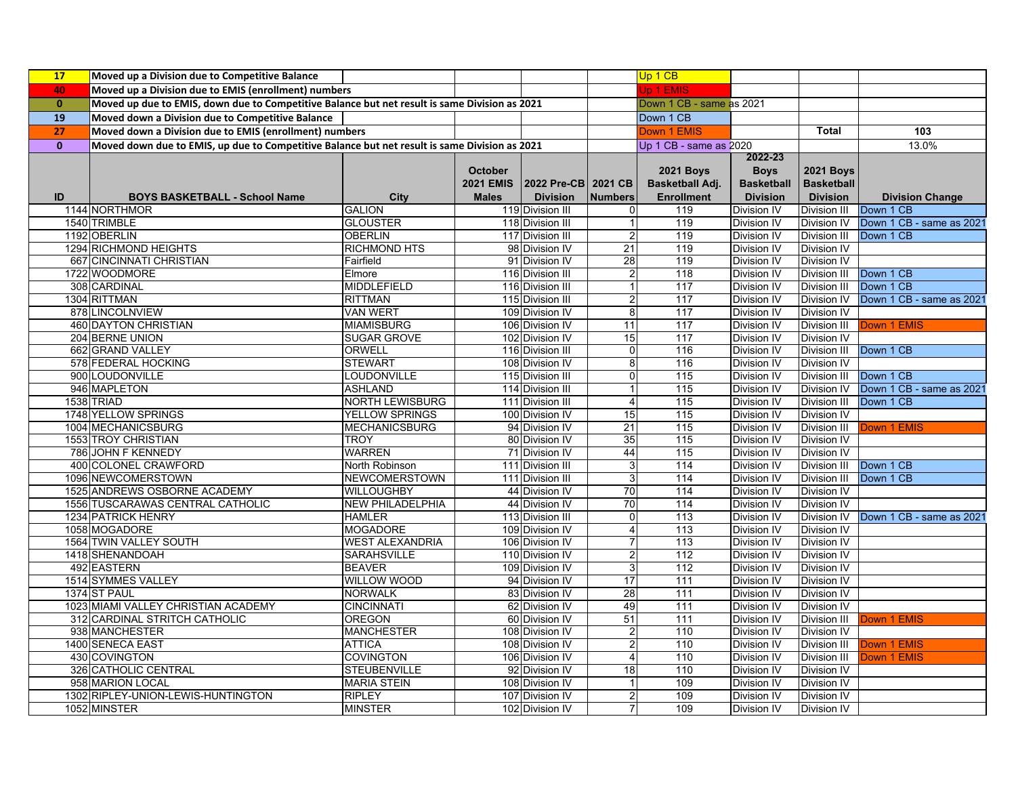| <b>17</b>    | Moved up a Division due to Competitive Balance                                                |                         |                  |                     |                         | Up 1 CB                  |                    |                     |                          |
|--------------|-----------------------------------------------------------------------------------------------|-------------------------|------------------|---------------------|-------------------------|--------------------------|--------------------|---------------------|--------------------------|
| 40           | Moved up a Division due to EMIS (enrollment) numbers                                          |                         |                  |                     |                         | Jp 1 EMIS                |                    |                     |                          |
| $\mathbf{0}$ | Moved up due to EMIS, down due to Competitive Balance but net result is same Division as 2021 |                         |                  |                     |                         | Down 1 CB - same as 2021 |                    |                     |                          |
| 19           | Moved down a Division due to Competitive Balance                                              |                         |                  |                     |                         | Down 1 CB                |                    |                     |                          |
| 27           | Moved down a Division due to EMIS (enrollment) numbers                                        |                         |                  |                     |                         | Down 1 EMIS              |                    | <b>Total</b>        | 103                      |
| $\mathbf{0}$ | Moved down due to EMIS, up due to Competitive Balance but net result is same Division as 2021 |                         |                  |                     |                         | Up 1 CB - same as 2020   |                    |                     | 13.0%                    |
|              |                                                                                               |                         |                  |                     |                         |                          | 2022-23            |                     |                          |
|              |                                                                                               |                         | <b>October</b>   |                     |                         | <b>2021 Boys</b>         | <b>Boys</b>        | <b>2021 Boys</b>    |                          |
|              |                                                                                               |                         | <b>2021 EMIS</b> | 2022 Pre-CB 2021 CB |                         | <b>Basketball Adj.</b>   | <b>Basketball</b>  | <b>Basketball</b>   |                          |
| ID           | <b>BOYS BASKETBALL - School Name</b>                                                          | <b>City</b>             | <b>Males</b>     | <b>Division</b>     | <b>Numbers</b>          | <b>Enrollment</b>        | <b>Division</b>    | <b>Division</b>     | <b>Division Change</b>   |
|              | 1144 NORTHMOR                                                                                 | <b>GALION</b>           |                  | 119 Division III    |                         | 119                      | Division IV        | Division III        | Down 1 CB                |
|              | 1540 TRIMBLE                                                                                  | <b>GLOUSTER</b>         |                  | 118 Division III    |                         | 119                      | Division IV        | Division IV         | Down 1 CB - same as 2021 |
|              | 1192 OBERLIN                                                                                  | <b>OBERLIN</b>          |                  | 117 Division III    |                         | 119                      | Division IV        | Division III        | Down 1 CB                |
|              | 1294 RICHMOND HEIGHTS                                                                         | <b>RICHMOND HTS</b>     |                  | 98 Division IV      | 21                      | 119                      | Division IV        | <b>Division IV</b>  |                          |
|              | 667 CINCINNATI CHRISTIAN                                                                      | Fairfield               |                  | 91 Division IV      | 28                      | 119                      | Division IV        | <b>Division IV</b>  |                          |
|              | 1722 WOODMORE                                                                                 | Elmore                  |                  | 116 Division III    | $\overline{2}$          | 118                      | <b>Division IV</b> | Division III        | Down 1 CB                |
|              | 308 CARDINAL                                                                                  | <b>MIDDLEFIELD</b>      |                  | 116 Division III    | 1                       | 117                      | Division IV        | Division III        | Down 1 CB                |
|              | 1304 RITTMAN                                                                                  | <b>RITTMAN</b>          |                  | 115 Division III    | $\overline{2}$          | $\overline{117}$         | <b>Division IV</b> | Division IV         | Down 1 CB - same as 2021 |
|              | 878 LINCOLNVIEW                                                                               | <b>VAN WERT</b>         |                  | 109 Division IV     | $\bf 8$                 | 117                      | <b>Division IV</b> | <b>Division IV</b>  |                          |
|              | <b>460 DAYTON CHRISTIAN</b>                                                                   | <b>MIAMISBURG</b>       |                  | 106 Division IV     | 11                      | $\overline{117}$         | <b>Division IV</b> | Division III        | Down 1 EMIS              |
|              | 204 BERNE UNION                                                                               | <b>SUGAR GROVE</b>      |                  | 102 Division IV     | 15                      | 117                      | Division IV        | <b>Division IV</b>  |                          |
|              | 662 GRAND VALLEY                                                                              | ORWELL                  |                  | 116 Division III    | $\mathbf 0$             | 116                      | Division IV        | <b>Division III</b> | Down 1 CB                |
|              | 578 FEDERAL HOCKING                                                                           | <b>STEWART</b>          |                  | 108 Division IV     | 8                       | 116                      | Division IV        | <b>Division IV</b>  |                          |
|              | 900 LOUDONVILLE                                                                               | LOUDONVILLE             |                  | 115 Division III    | $\mathbf 0$             | 115                      | Division IV        | <b>Division III</b> | Down 1 CB                |
|              | 946 MAPLETON                                                                                  | <b>ASHLAND</b>          |                  | 114 Division III    | 1                       | 115                      | <b>Division IV</b> | <b>Division IV</b>  | Down 1 CB - same as 2021 |
|              | 1538 TRIAD                                                                                    | NORTH LEWISBURG         |                  | 111 Division III    | $\overline{\mathbf{4}}$ | 115                      | <b>Division IV</b> | <b>Division III</b> | Down 1 CB                |
|              | 1748 YELLOW SPRINGS                                                                           | <b>YELLOW SPRINGS</b>   |                  | 100 Division IV     | 15                      | 115                      | <b>Division IV</b> | <b>Division IV</b>  |                          |
|              | 1004 MECHANICSBURG                                                                            | <b>MECHANICSBURG</b>    |                  | 94 Division IV      | 21                      | 115                      | <b>Division IV</b> | <b>Division III</b> | Down 1 EMIS              |
|              | 1553 TROY CHRISTIAN                                                                           | <b>TROY</b>             |                  | 80 Division IV      | 35                      | 115                      | <b>Division IV</b> | <b>Division IV</b>  |                          |
|              | 786 JOHN F KENNEDY                                                                            | <b>WARREN</b>           |                  | 71 Division IV      | 44                      | 115                      | <b>Division IV</b> | <b>Division IV</b>  |                          |
|              | 400 COLONEL CRAWFORD                                                                          | North Robinson          |                  | 111 Division III    | 3                       | 114                      | <b>Division IV</b> | <b>Division III</b> | Down 1 CB                |
|              | 1096 NEWCOMERSTOWN                                                                            | <b>NEWCOMERSTOWN</b>    |                  | 111 Division III    | 3                       | 114                      | Division IV        | <b>Division III</b> | Down 1 CB                |
|              | 1525 ANDREWS OSBORNE ACADEMY                                                                  | WILLOUGHBY              |                  | 44 Division IV      | 70                      | 114                      | Division IV        | <b>Division IV</b>  |                          |
|              | 1556 TUSCARAWAS CENTRAL CATHOLIC                                                              | <b>NEW PHILADELPHIA</b> |                  | 44 Division IV      | $\overline{70}$         | 114                      | Division IV        | <b>Division IV</b>  |                          |
|              | 1234 PATRICK HENRY                                                                            | <b>HAMLER</b>           |                  | 113 Division III    | $\Omega$                | 113                      | Division IV        | <b>Division IV</b>  | Down 1 CB - same as 2021 |
|              | 1058 MOGADORE                                                                                 | <b>MOGADORE</b>         |                  | 109 Division IV     | $\overline{4}$          | 113                      | Division IV        | <b>Division IV</b>  |                          |
|              | 1564 TWIN VALLEY SOUTH                                                                        | <b>WEST ALEXANDRIA</b>  |                  | 106 Division IV     |                         | 113                      | Division IV        | <b>Division IV</b>  |                          |
|              | 1418 SHENANDOAH                                                                               | <b>SARAHSVILLE</b>      |                  | 110 Division IV     | $\mathbf{2}$            | 112                      | Division IV        | <b>Division IV</b>  |                          |
|              | 492 EASTERN                                                                                   | <b>BEAVER</b>           |                  | 109 Division IV     | 3                       | 112                      | Division IV        | <b>Division IV</b>  |                          |
|              | 1514 SYMMES VALLEY                                                                            | <b>WILLOW WOOD</b>      |                  | 94 Division IV      | 17                      | 111                      | <b>Division IV</b> | <b>Division IV</b>  |                          |
|              | 1374 ST PAUL                                                                                  | <b>NORWALK</b>          |                  | 83 Division IV      | 28                      | 111                      | <b>Division IV</b> | <b>Division IV</b>  |                          |
|              | 1023 MIAMI VALLEY CHRISTIAN ACADEMY                                                           | <b>CINCINNATI</b>       |                  | 62 Division IV      | 49                      | 111                      | <b>Division IV</b> | Division IV         |                          |
|              | 312 CARDINAL STRITCH CATHOLIC                                                                 | <b>OREGON</b>           |                  | 60 Division IV      | 51                      | 111                      | <b>Division IV</b> | Division III        | Down 1 EMIS              |
|              | 938 MANCHESTER                                                                                | <b>MANCHESTER</b>       |                  | 108 Division IV     | $\overline{\mathbf{c}}$ | 110                      | Division IV        | <b>Division IV</b>  |                          |
|              | 1400 SENECA EAST                                                                              | <b>ATTICA</b>           |                  | 108 Division IV     | $\overline{2}$          | 110                      | Division IV        | Division III        | Down 1 EMIS              |
|              | 430 COVINGTON                                                                                 | <b>COVINGTON</b>        |                  | 106 Division IV     | 4                       | 110                      | <b>Division IV</b> | <b>Division III</b> | Down 1 EMIS              |
|              | 326 CATHOLIC CENTRAL                                                                          | <b>STEUBENVILLE</b>     |                  | 92 Division IV      | 18                      | 110                      | Division IV        | <b>Division IV</b>  |                          |
|              | 958 MARION LOCAL                                                                              | <b>MARIA STEIN</b>      |                  | 108 Division IV     | 1                       | 109                      | <b>Division IV</b> | <b>Division IV</b>  |                          |
|              | 1302 RIPLEY-UNION-LEWIS-HUNTINGTON                                                            | <b>RIPLEY</b>           |                  | 107 Division IV     | $\overline{\mathbf{c}}$ | 109                      | Division IV        | <b>Division IV</b>  |                          |
|              | 1052 MINSTER                                                                                  | <b>MINSTER</b>          |                  | 102 Division IV     | $\overline{7}$          | 109                      | Division IV        | <b>Division IV</b>  |                          |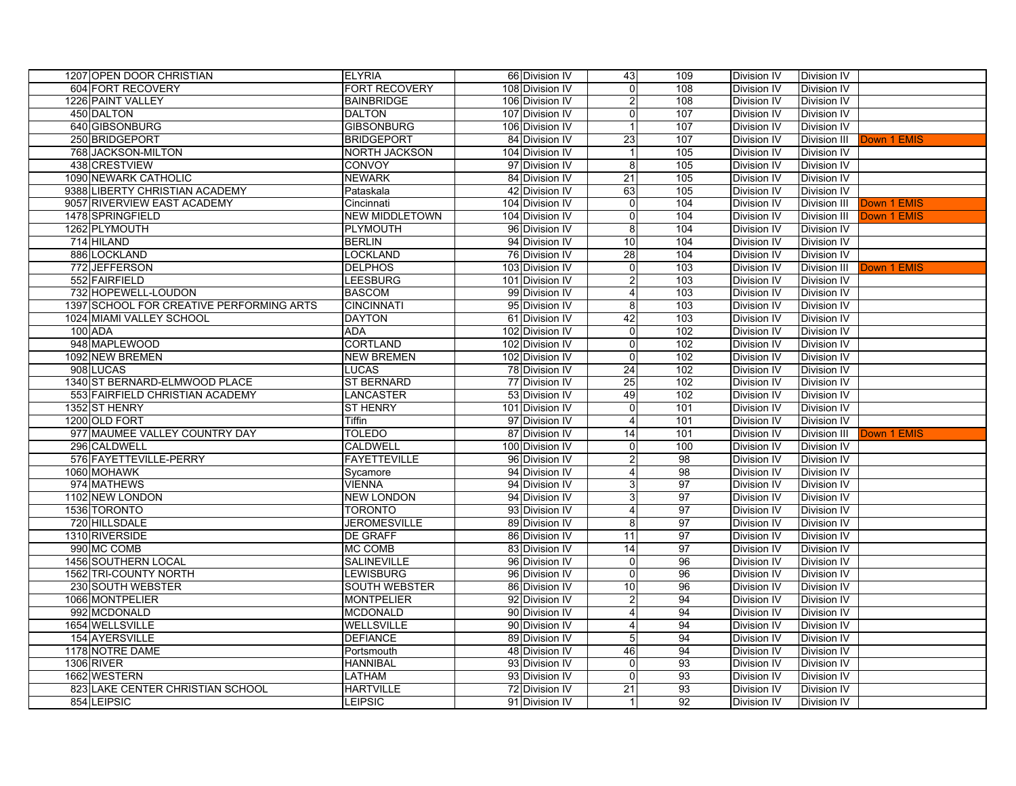| 1207 OPEN DOOR CHRISTIAN                 | <b>ELYRIA</b>         | 66 Division IV  | 43                      | 109             | Division IV        | Division IV        |             |
|------------------------------------------|-----------------------|-----------------|-------------------------|-----------------|--------------------|--------------------|-------------|
| 604 FORT RECOVERY                        | <b>FORT RECOVERY</b>  | 108 Division IV | $\overline{0}$          | 108             | Division IV        | <b>Division IV</b> |             |
| 1226 PAINT VALLEY                        | <b>BAINBRIDGE</b>     | 106 Division IV | $\overline{c}$          | 108             | Division IV        | Division IV        |             |
| 450 DALTON                               | <b>DALTON</b>         | 107 Division IV | 0                       | 107             | Division IV        | Division IV        |             |
| 640 GIBSONBURG                           | <b>GIBSONBURG</b>     | 106 Division IV | $\mathbf{1}$            | 107             | Division IV        | Division IV        |             |
| 250 BRIDGEPORT                           | <b>BRIDGEPORT</b>     | 84 Division IV  | 23                      | 107             | Division IV        | Division III       | Down 1 EMIS |
| 768 JACKSON-MILTON                       | <b>NORTH JACKSON</b>  | 104 Division IV |                         | 105             | Division IV        | Division IV        |             |
| 438 CRESTVIEW                            | <b>CONVOY</b>         | 97 Division IV  | 8                       | 105             | Division IV        | Division IV        |             |
| 1090 NEWARK CATHOLIC                     | <b>NEWARK</b>         | 84 Division IV  | 21                      | 105             | Division IV        | <b>Division IV</b> |             |
| 9388 LIBERTY CHRISTIAN ACADEMY           | Pataskala             | 42 Division IV  | 63                      | 105             | Division IV        | Division IV        |             |
| 9057 RIVERVIEW EAST ACADEMY              | Cincinnati            | 104 Division IV | $\overline{0}$          | 104             | Division IV        | Division III       | Down 1 EMIS |
| 1478 SPRINGFIELD                         | <b>NEW MIDDLETOWN</b> | 104 Division IV | $\overline{0}$          | 104             | <b>Division IV</b> | Division III       | Down 1 EMIS |
| 1262 PLYMOUTH                            | <b>PLYMOUTH</b>       | 96 Division IV  | 8                       | 104             | Division IV        | Division IV        |             |
| 714 HILAND                               | <b>BERLIN</b>         | 94 Division IV  | 10                      | 104             | Division IV        | Division IV        |             |
| 886 LOCKLAND                             | <b>LOCKLAND</b>       | 76 Division IV  | 28                      | 104             | Division IV        | Division IV        |             |
| 772 JEFFERSON                            | <b>DELPHOS</b>        | 103 Division IV | $\overline{0}$          | 103             | Division IV        | Division III       | Down 1 EMIS |
| 552 FAIRFIELD                            | LEESBURG              | 101 Division IV | $\overline{2}$          | 103             | Division IV        | Division IV        |             |
| 732 HOPEWELL-LOUDON                      | <b>BASCOM</b>         | 99 Division IV  | $\overline{4}$          | 103             | Division IV        | Division IV        |             |
| 1397 SCHOOL FOR CREATIVE PERFORMING ARTS | <b>CINCINNATI</b>     | 95 Division IV  | 8                       | 103             | Division IV        | Division IV        |             |
| 1024 MIAMI VALLEY SCHOOL                 | <b>DAYTON</b>         | 61 Division IV  | 42                      | 103             | Division IV        | Division IV        |             |
| 100 ADA                                  | <b>ADA</b>            | 102 Division IV | $\overline{0}$          | 102             | Division IV        | <b>Division IV</b> |             |
| 948 MAPLEWOOD                            | <b>CORTLAND</b>       | 102 Division IV | $\overline{0}$          | 102             | Division IV        | Division IV        |             |
| 1092 NEW BREMEN                          | <b>NEW BREMEN</b>     | 102 Division IV | $\overline{0}$          | 102             | <b>Division IV</b> | <b>Division IV</b> |             |
| 908 LUCAS                                | <b>LUCAS</b>          | 78 Division IV  | 24                      | 102             | Division IV        | Division IV        |             |
| 1340 ST BERNARD-ELMWOOD PLACE            | <b>ST BERNARD</b>     | 77 Division IV  | 25                      | 102             | Division IV        | <b>Division IV</b> |             |
| 553 FAIRFIELD CHRISTIAN ACADEMY          | <b>LANCASTER</b>      | 53 Division IV  | 49                      | 102             | Division IV        | <b>Division IV</b> |             |
| 1352 ST HENRY                            | <b>ST HENRY</b>       | 101 Division IV | $\overline{0}$          | 101             | <b>Division IV</b> | Division IV        |             |
| 1200 OLD FORT                            | Tiffin                | 97 Division IV  | $\overline{4}$          | 101             | Division IV        | <b>Division IV</b> |             |
| 977 MAUMEE VALLEY COUNTRY DAY            | <b>TOLEDO</b>         | 87 Division IV  | 14                      | 101             | <b>Division IV</b> | Division III       | Down 1 EMIS |
| 296 CALDWELL                             | CALDWELL              | 100 Division IV | $\overline{0}$          | 100             | <b>Division IV</b> | <b>Division IV</b> |             |
| 576 FAYETTEVILLE-PERRY                   | <b>FAYETTEVILLE</b>   | 96 Division IV  | $\overline{a}$          | 98              | <b>Division IV</b> | <b>Division IV</b> |             |
| 1060 MOHAWK                              | Sycamore              | 94 Division IV  | $\overline{4}$          | 98              | <b>Division IV</b> | Division IV        |             |
| 974 MATHEWS                              | <b>VIENNA</b>         | 94 Division IV  | 3                       | 97              | Division IV        | <b>Division IV</b> |             |
| 1102 NEW LONDON                          | <b>NEW LONDON</b>     | 94 Division IV  | 3                       | 97              | Division IV        | Division IV        |             |
| 1536 TORONTO                             | <b>TORONTO</b>        | 93 Division IV  | $\overline{4}$          | 97              | Division IV        | Division IV        |             |
| 720 HILLSDALE                            | <b>JEROMESVILLE</b>   | 89 Division IV  | 8 <sup>1</sup>          | 97              | <b>Division IV</b> | Division IV        |             |
| 1310 RIVERSIDE                           | <b>DE GRAFF</b>       | 86 Division IV  | 11                      | 97              | Division IV        | <b>Division IV</b> |             |
| 990 MC COMB                              | MC COMB               | 83 Division IV  | 14                      | 97              | Division IV        | <b>Division IV</b> |             |
| 1456 SOUTHERN LOCAL                      | <b>SALINEVILLE</b>    | 96 Division IV  | $\overline{0}$          | 96              | <b>Division IV</b> | <b>Division IV</b> |             |
| 1562 TRI-COUNTY NORTH                    | <b>LEWISBURG</b>      | 96 Division IV  | $\overline{0}$          | 96              | Division IV        | <b>Division IV</b> |             |
| 230 SOUTH WEBSTER                        | <b>SOUTH WEBSTER</b>  | 86 Division IV  | 10                      | 96              | Division IV        | <b>Division IV</b> |             |
| 1066 MONTPELIER                          | <b>MONTPELIER</b>     | 92 Division IV  | $\overline{c}$          | 94              | Division IV        | <b>Division IV</b> |             |
| 992 MCDONALD                             | <b>MCDONALD</b>       | 90 Division IV  | $\overline{4}$          | 94              | Division IV        | <b>Division IV</b> |             |
| 1654 WELLSVILLE                          | <b>WELLSVILLE</b>     | 90 Division IV  | $\overline{4}$          | 94              | <b>Division IV</b> | <b>Division IV</b> |             |
| 154 AYERSVILLE                           | <b>DEFIANCE</b>       | 89 Division IV  | 5                       | 94              | <b>Division IV</b> | <b>Division IV</b> |             |
| 1178 NOTRE DAME                          | Portsmouth            | 48 Division IV  | 46                      | $\overline{94}$ | <b>Division IV</b> | <b>Division IV</b> |             |
| 1306 RIVER                               | <b>HANNIBAL</b>       | 93 Division IV  | $\pmb{0}$               | 93              | Division IV        | <b>Division IV</b> |             |
| 1662 WESTERN                             | LATHAM                | 93 Division IV  | $\overline{\mathsf{o}}$ | 93              | Division IV        | <b>Division IV</b> |             |
| 823 LAKE CENTER CHRISTIAN SCHOOL         | <b>HARTVILLE</b>      | 72 Division IV  | 21                      | 93              | Division IV        | <b>Division IV</b> |             |
| 854 LEIPSIC                              | <b>LEIPSIC</b>        | 91 Division IV  | $\mathbf{1}$            | 92              | Division IV        | <b>Division IV</b> |             |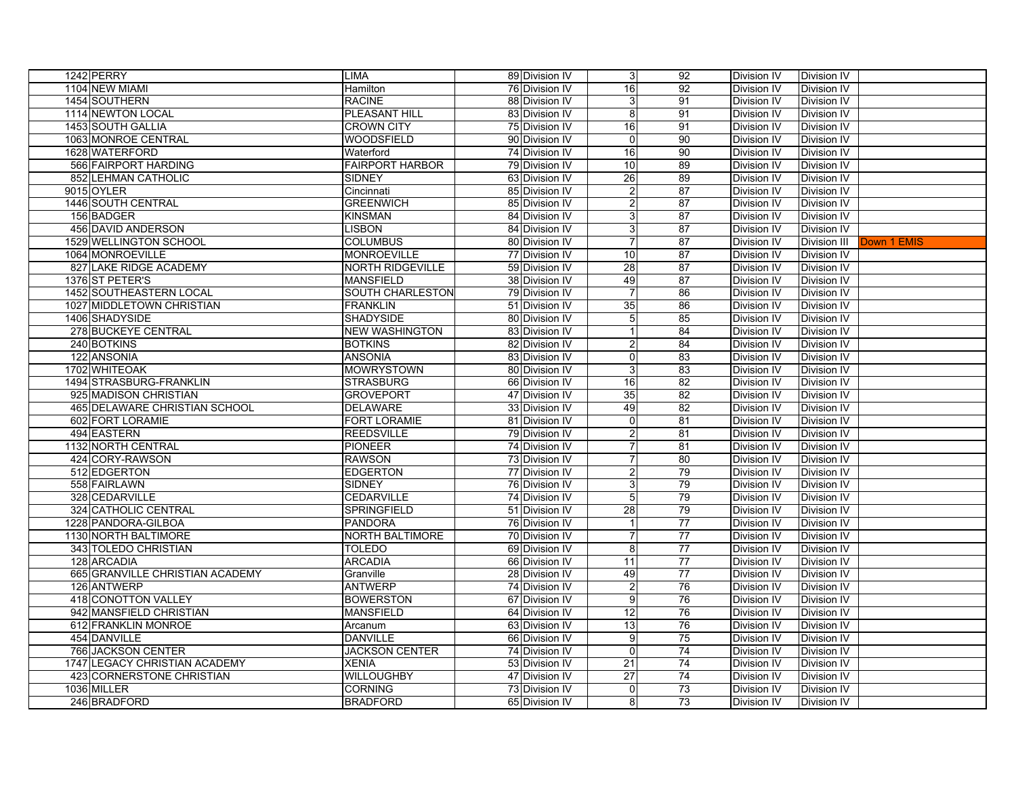| 1242 PERRY                      | <b>LIMA</b>             | 89 Division IV | 3 <sup>1</sup>   | 92              | Division IV        | Division IV        |             |
|---------------------------------|-------------------------|----------------|------------------|-----------------|--------------------|--------------------|-------------|
| 1104 NEW MIAMI                  | Hamilton                | 76 Division IV | 16               | 92              | Division IV        | Division IV        |             |
| 1454 SOUTHERN                   | <b>RACINE</b>           | 88 Division IV | 3                | 91              | Division IV        | Division IV        |             |
| 1114 NEWTON LOCAL               | PLEASANT HILL           | 83 Division IV | 8                | 91              | Division IV        | Division IV        |             |
| <b>1453 SOUTH GALLIA</b>        | <b>CROWN CITY</b>       | 75 Division IV | 16               | 91              | Division IV        | <b>Division IV</b> |             |
| 1063 MONROE CENTRAL             | <b>WOODSFIELD</b>       | 90 Division IV | $\overline{0}$   | 90              | Division IV        | Division IV        |             |
| 1628 WATERFORD                  | Waterford               | 74 Division IV | 16               | 90              | Division IV        | <b>Division IV</b> |             |
| 566 FAIRPORT HARDING            | <b>FAIRPORT HARBOR</b>  | 79 Division IV | 10               | 89              | Division IV        | Division IV        |             |
| 852 LEHMAN CATHOLIC             | <b>SIDNEY</b>           | 63 Division IV | 26               | 89              | Division IV        | <b>Division IV</b> |             |
| 9015 OYLER                      | Cincinnati              | 85 Division IV | 2                | 87              | Division IV        | <b>Division IV</b> |             |
| 1446 SOUTH CENTRAL              | <b>GREENWICH</b>        | 85 Division IV | $\overline{2}$   | $\overline{87}$ | Division IV        | <b>Division IV</b> |             |
| 156 BADGER                      | <b>KINSMAN</b>          | 84 Division IV | 3                | 87              | Division IV        | <b>Division IV</b> |             |
| 456 DAVID ANDERSON              | <b>LISBON</b>           | 84 Division IV | 3                | 87              | Division IV        | <b>Division IV</b> |             |
| 1529 WELLINGTON SCHOOL          | <b>COLUMBUS</b>         | 80 Division IV | 7                | 87              | Division IV        | Division III       | Down 1 EMIS |
| 1064 MONROEVILLE                | <b>MONROEVILLE</b>      | 77 Division IV | 10               | 87              | Division IV        | <b>Division IV</b> |             |
| 827 LAKE RIDGE ACADEMY          | <b>NORTH RIDGEVILLE</b> | 59 Division IV | 28               | 87              | Division IV        | <b>Division IV</b> |             |
| 1376 ST PETER'S                 | <b>MANSFIELD</b>        | 38 Division IV | 49               | 87              | Division IV        | <b>Division IV</b> |             |
| 1452 SOUTHEASTERN LOCAL         | <b>SOUTH CHARLESTON</b> | 79 Division IV | 7                | 86              | Division IV        | <b>Division IV</b> |             |
| 1027 MIDDLETOWN CHRISTIAN       | <b>FRANKLIN</b>         | 51 Division IV | 35               | 86              | Division IV        | <b>Division IV</b> |             |
| 1406 SHADYSIDE                  | <b>SHADYSIDE</b>        | 80 Division IV | 5 <sub>l</sub>   | 85              | Division IV        | <b>Division IV</b> |             |
| 278 BUCKEYE CENTRAL             | <b>NEW WASHINGTON</b>   | 83 Division IV |                  | 84              | Division IV        | <b>Division IV</b> |             |
| 240 BOTKINS                     | <b>BOTKINS</b>          | 82 Division IV | 2                | 84              | Division IV        | Division IV        |             |
| 122 ANSONIA                     | <b>ANSONIA</b>          | 83 Division IV | 0                | 83              | Division IV        | <b>Division IV</b> |             |
| 1702 WHITEOAK                   | <b>MOWRYSTOWN</b>       | 80 Division IV | $\mathbf{3}$     | 83              | <b>Division IV</b> | Division IV        |             |
| 1494 STRASBURG-FRANKLIN         | <b>STRASBURG</b>        | 66 Division IV | 16               | 82              | Division IV        | Division IV        |             |
| 925 MADISON CHRISTIAN           | <b>GROVEPORT</b>        | 47 Division IV | 35               | 82              | Division IV        | <b>Division IV</b> |             |
| 465 DELAWARE CHRISTIAN SCHOOL   | <b>DELAWARE</b>         | 33 Division IV | 49               | 82              | Division IV        | <b>Division IV</b> |             |
| 602 FORT LORAMIE                | <b>FORT LORAMIE</b>     | 81 Division IV | $\overline{0}$   | 81              | Division IV        | Division IV        |             |
| 494 EASTERN                     | <b>REEDSVILLE</b>       | 79 Division IV | $\boldsymbol{2}$ | 81              | Division IV        | <b>Division IV</b> |             |
| 1132 NORTH CENTRAL              | <b>PIONEER</b>          | 74 Division IV | 7                | 81              | Division IV        | <b>Division IV</b> |             |
| 424 CORY-RAWSON                 | <b>RAWSON</b>           | 73 Division IV | 7                | 80              | Division IV        | <b>Division IV</b> |             |
| 512 EDGERTON                    | <b>EDGERTON</b>         | 77 Division IV | $\overline{2}$   | 79              | <b>Division IV</b> | <b>Division IV</b> |             |
| 558 FAIRLAWN                    | <b>SIDNEY</b>           | 76 Division IV | 3                | 79              | Division IV        | <b>Division IV</b> |             |
| 328 CEDARVILLE                  | <b>CEDARVILLE</b>       | 74 Division IV | 5 <sub>l</sub>   | 79              | Division IV        | <b>Division IV</b> |             |
| 324 CATHOLIC CENTRAL            | <b>SPRINGFIELD</b>      | 51 Division IV | 28               | 79              | Division IV        | <b>Division IV</b> |             |
| 1228 PANDORA-GILBOA             | <b>PANDORA</b>          | 76 Division IV | $\mathbf 1$      | 77              | Division IV        | <b>Division IV</b> |             |
| 1130 NORTH BALTIMORE            | <b>NORTH BALTIMORE</b>  | 70 Division IV | $\overline{7}$   | $\overline{77}$ | Division IV        | <b>Division IV</b> |             |
| 343 TOLEDO CHRISTIAN            | <b>TOLEDO</b>           | 69 Division IV | 8 <sup>1</sup>   | 77              | Division IV        | <b>Division IV</b> |             |
| 128 ARCADIA                     | <b>ARCADIA</b>          | 66 Division IV | 11               | 77              | Division IV        | <b>Division IV</b> |             |
| 665 GRANVILLE CHRISTIAN ACADEMY | Granville               | 28 Division IV | 49               | 77              | <b>Division IV</b> | <b>Division IV</b> |             |
| 126 ANTWERP                     | <b>ANTWERP</b>          | 74 Division IV | $\overline{2}$   | 76              | Division IV        | <b>Division IV</b> |             |
| 418 CONOTTON VALLEY             | <b>BOWERSTON</b>        | 67 Division IV | 9                | 76              | Division IV        | <b>Division IV</b> |             |
| 942 MANSFIELD CHRISTIAN         | <b>MANSFIELD</b>        | 64 Division IV | 12               | 76              | Division IV        | <b>Division IV</b> |             |
| 612 FRANKLIN MONROE             | Arcanum                 | 63 Division IV | 13               | 76              | Division IV        | <b>Division IV</b> |             |
| 454 DANVILLE                    | <b>DANVILLE</b>         | 66 Division IV | 9                | 75              | Division IV        | <b>Division IV</b> |             |
| <b>766 JACKSON CENTER</b>       | <b>JACKSON CENTER</b>   | 74 Division IV | $\overline{0}$   | 74              | <b>Division IV</b> | <b>Division IV</b> |             |
| 1747 LEGACY CHRISTIAN ACADEMY   | <b>XENIA</b>            | 53 Division IV | 21               | 74              | Division IV        | <b>Division IV</b> |             |
| 423 CORNERSTONE CHRISTIAN       | <b>WILLOUGHBY</b>       | 47 Division IV | $\overline{27}$  | 74              | Division IV        | Division IV        |             |
| 1036 MILLER                     | <b>CORNING</b>          | 73 Division IV | $\overline{0}$   | 73              | Division IV        | <b>Division IV</b> |             |
| 246 BRADFORD                    | <b>BRADFORD</b>         | 65 Division IV | $\overline{8}$   | 73              | Division IV        | Division IV        |             |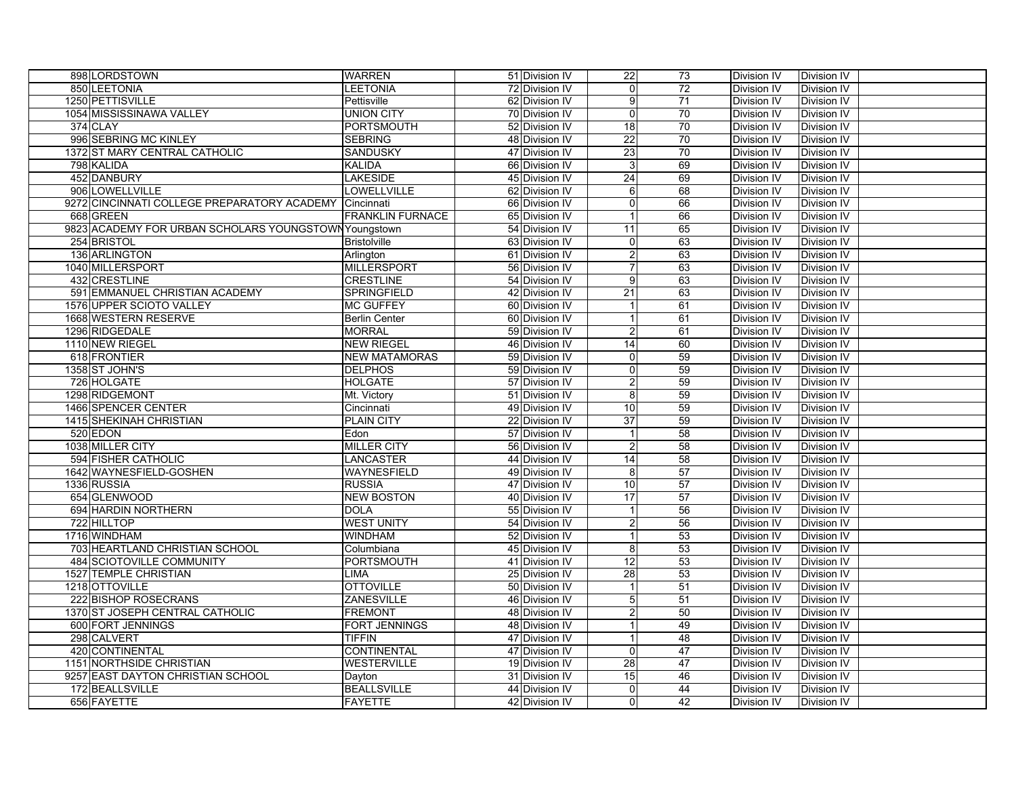| 898 LORDSTOWN                                         | <b>WARREN</b>           | 51 Division IV | 22               | 73              | Division IV        | Division IV        |
|-------------------------------------------------------|-------------------------|----------------|------------------|-----------------|--------------------|--------------------|
| 850 LEETONIA                                          | <b>LEETONIA</b>         | 72 Division IV | $\overline{0}$   | $\overline{72}$ | Division IV        | Division IV        |
| 1250 PETTISVILLE                                      | Pettisville             | 62 Division IV | 9                | 71              | Division IV        | Division IV        |
| 1054 MISSISSINAWA VALLEY                              | <b>UNION CITY</b>       | 70 Division IV | $\overline{0}$   | 70              | Division IV        | Division IV        |
| 374 CLAY                                              | <b>PORTSMOUTH</b>       | 52 Division IV | 18               | 70              | Division IV        | Division IV        |
| 996 SEBRING MC KINLEY                                 | <b>SEBRING</b>          | 48 Division IV | 22               | 70              | Division IV        | Division IV        |
| 1372 ST MARY CENTRAL CATHOLIC                         | SANDUSKY                | 47 Division IV | 23               | 70              | Division IV        | Division IV        |
| 798 KALIDA                                            | <b>KALIDA</b>           | 66 Division IV | 3                | 69              | Division IV        | Division IV        |
| 452 DANBURY                                           | <b>LAKESIDE</b>         | 45 Division IV | 24               | 69              | Division IV        | Division IV        |
| 906 LOWELLVILLE                                       | LOWELLVILLE             | 62 Division IV | $6 \mid$         | 68              | Division IV        | Division IV        |
| 9272 CINCINNATI COLLEGE PREPARATORY ACADEMY           | Cincinnati              | 66 Division IV | $\overline{0}$   | 66              | Division IV        | <b>Division IV</b> |
| 668 GREEN                                             | <b>FRANKLIN FURNACE</b> | 65 Division IV |                  | 66              | Division IV        | Division IV        |
| 9823 ACADEMY FOR URBAN SCHOLARS YOUNGSTOWN Youngstown |                         | 54 Division IV | 11               | 65              | Division IV        | Division IV        |
| 254 BRISTOL                                           | <b>Bristolville</b>     | 63 Division IV | 0                | 63              | Division IV        | Division IV        |
| 136 ARLINGTON                                         | Arlington               | 61 Division IV | $\overline{2}$   | 63              | Division IV        | Division IV        |
| 1040 MILLERSPORT                                      | <b>MILLERSPORT</b>      | 56 Division IV | $\overline{7}$   | 63              | Division IV        | Division IV        |
| 432 CRESTLINE                                         | <b>CRESTLINE</b>        | 54 Division IV | 9                | 63              | Division IV        | Division IV        |
| 591 EMMANUEL CHRISTIAN ACADEMY                        | SPRINGFIELD             | 42 Division IV | 21               | 63              | Division IV        | Division IV        |
| 1576 UPPER SCIOTO VALLEY                              | <b>MC GUFFEY</b>        | 60 Division IV | $\mathbf 1$      | 61              | Division IV        | Division IV        |
| 1668 WESTERN RESERVE                                  | <b>Berlin Center</b>    | 60 Division IV | 1                | 61              | Division IV        | Division IV        |
| 1296 RIDGEDALE                                        | <b>MORRAL</b>           | 59 Division IV | $\overline{a}$   | 61              | Division IV        | Division IV        |
| 1110 NEW RIEGEL                                       | <b>NEW RIEGEL</b>       | 46 Division IV | 14               | 60              | Division IV        | Division IV        |
| 618 FRONTIER                                          | <b>NEW MATAMORAS</b>    | 59 Division IV | $\overline{0}$   | 59              | Division IV        | Division IV        |
| 1358 ST JOHN'S                                        | <b>DELPHOS</b>          | 59 Division IV | $\overline{0}$   | 59              | Division IV        | Division IV        |
| 726 HOLGATE                                           | <b>HOLGATE</b>          | 57 Division IV | $\overline{2}$   | 59              | Division IV        | Division IV        |
| 1298 RIDGEMONT                                        | Mt. Victory             | 51 Division IV | 8                | 59              | <b>Division IV</b> | Division IV        |
| 1466 SPENCER CENTER                                   | Cincinnati              | 49 Division IV | 10               | 59              | Division IV        | Division IV        |
| 1415 SHEKINAH CHRISTIAN                               | <b>PLAIN CITY</b>       | 22 Division IV | 37               | 59              | <b>Division IV</b> | Division IV        |
| 520 EDON                                              | Edon                    | 57 Division IV | $\mathbf{1}$     | 58              | Division IV        | Division IV        |
| 1038 MILLER CITY                                      | <b>MILLER CITY</b>      | 56 Division IV | $\overline{2}$   | 58              | Division IV        | Division IV        |
| <b>594 FISHER CATHOLIC</b>                            | <b>LANCASTER</b>        | 44 Division IV | 14               | 58              | Division IV        | Division IV        |
| 1642 WAYNESFIELD-GOSHEN                               | <b>WAYNESFIELD</b>      | 49 Division IV | 8                | 57              | Division IV        | Division IV        |
| 1336 RUSSIA                                           | <b>RUSSIA</b>           | 47 Division IV | 10               | 57              | <b>Division IV</b> | Division IV        |
| 654 GLENWOOD                                          | <b>NEW BOSTON</b>       | 40 Division IV | 17               | 57              | <b>Division IV</b> | Division IV        |
| 694 HARDIN NORTHERN                                   | <b>DOLA</b>             | 55 Division IV |                  | 56              | <b>Division IV</b> | Division IV        |
| 722 HILLTOP                                           | <b>WEST UNITY</b>       | 54 Division IV | $\overline{2}$   | 56              | Division IV        | Division IV        |
| 1716 WINDHAM                                          | WINDHAM                 | 52 Division IV |                  | 53              | <b>Division IV</b> | Division IV        |
| 703 HEARTLAND CHRISTIAN SCHOOL                        | Columbiana              | 45 Division IV | 8                | 53              | <b>Division IV</b> | <b>Division IV</b> |
| <b>484 SCIOTOVILLE COMMUNITY</b>                      | <b>PORTSMOUTH</b>       | 41 Division IV | 12               | 53              | Division IV        | Division IV        |
| 1527 TEMPLE CHRISTIAN                                 | LIMA                    | 25 Division IV | 28               | 53              | <b>Division IV</b> | Division IV        |
| 1218 OTTOVILLE                                        | <b>OTTOVILLE</b>        | 50 Division IV |                  | 51              | <b>Division IV</b> | <b>Division IV</b> |
| 222 BISHOP ROSECRANS                                  | <b>ZANESVILLE</b>       | 46 Division IV | $\overline{5}$   | 51              | Division IV        | Division IV        |
| 1370 ST JOSEPH CENTRAL CATHOLIC                       | <b>FREMONT</b>          | 48 Division IV | $\boldsymbol{2}$ | 50              | Division IV        | Division IV        |
| 600 FORT JENNINGS                                     | <b>FORT JENNINGS</b>    | 48 Division IV |                  | 49              | Division IV        | Division IV        |
| 298 CALVERT                                           | <b>TIFFIN</b>           | 47 Division IV |                  | $\overline{48}$ | Division IV        | Division IV        |
| 420 CONTINENTAL                                       | CONTINENTAL             | 47 Division IV | 0                | 47              | Division IV        | Division IV        |
| 1151 NORTHSIDE CHRISTIAN                              | <b>WESTERVILLE</b>      | 19 Division IV | 28               | 47              | Division IV        | Division IV        |
| 9257 EAST DAYTON CHRISTIAN SCHOOL                     | Dayton                  | 31 Division IV | 15               | 46              | Division IV        | Division IV        |
| 172 BEALLSVILLE                                       | <b>BEALLSVILLE</b>      | 44 Division IV | 0                | 44              | Division IV        | Division IV        |
| 656 FAYETTE                                           | <b>FAYETTE</b>          | 42 Division IV | 0                | 42              | Division IV        | Division IV        |